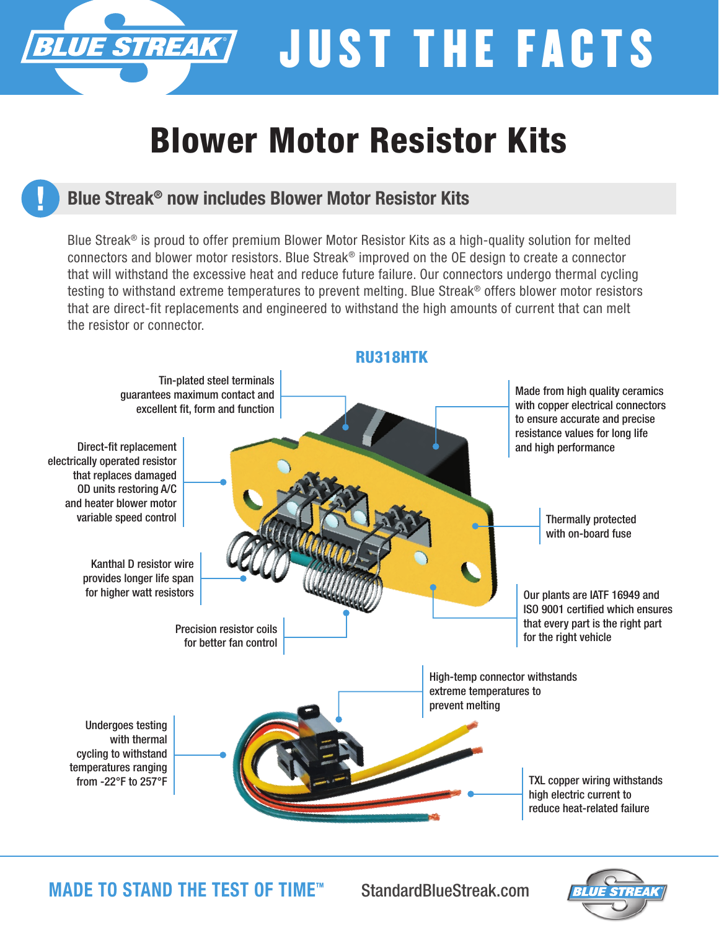# JUST THE FACTS

## Blower Motor Resistor Kits

### Blue Streak® now includes Blower Motor Resistor Kits

**UE STREAK** 

Blue Streak® is proud to offer premium Blower Motor Resistor Kits as a high-quality solution for melted connectors and blower motor resistors. Blue Streak® improved on the OE design to create a connector that will withstand the excessive heat and reduce future failure. Our connectors undergo thermal cycling testing to withstand extreme temperatures to prevent melting. Blue Streak® offers blower motor resistors that are direct-fit replacements and engineered to withstand the high amounts of current that can melt the resistor or connector.



MADE TO STAND THE TEST OF TIME™

StandardBlueStreak.com